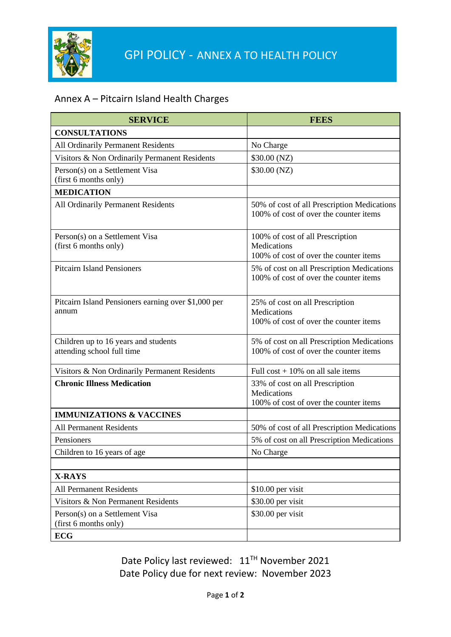

## Annex A – Pitcairn Island Health Charges

| <b>SERVICE</b>                                                     | <b>FEES</b>                                                                               |
|--------------------------------------------------------------------|-------------------------------------------------------------------------------------------|
| <b>CONSULTATIONS</b>                                               |                                                                                           |
| All Ordinarily Permanent Residents                                 | No Charge                                                                                 |
| Visitors & Non Ordinarily Permanent Residents                      | \$30.00 (NZ)                                                                              |
| Person(s) on a Settlement Visa<br>(first 6 months only)            | \$30.00 (NZ)                                                                              |
| <b>MEDICATION</b>                                                  |                                                                                           |
| All Ordinarily Permanent Residents                                 | 50% of cost of all Prescription Medications<br>100% of cost of over the counter items     |
| Person(s) on a Settlement Visa<br>(first 6 months only)            | 100% of cost of all Prescription<br>Medications<br>100% of cost of over the counter items |
| <b>Pitcairn Island Pensioners</b>                                  | 5% of cost on all Prescription Medications<br>100% of cost of over the counter items      |
| Pitcairn Island Pensioners earning over \$1,000 per<br>annum       | 25% of cost on all Prescription<br>Medications<br>100% of cost of over the counter items  |
| Children up to 16 years and students<br>attending school full time | 5% of cost on all Prescription Medications<br>100% of cost of over the counter items      |
| Visitors & Non Ordinarily Permanent Residents                      | Full $cost + 10\%$ on all sale items                                                      |
| <b>Chronic Illness Medication</b>                                  | 33% of cost on all Prescription<br>Medications<br>100% of cost of over the counter items  |
| <b>IMMUNIZATIONS &amp; VACCINES</b>                                |                                                                                           |
| <b>All Permanent Residents</b>                                     | 50% of cost of all Prescription Medications                                               |
| Pensioners                                                         | 5% of cost on all Prescription Medications                                                |
| Children to 16 years of age                                        | No Charge                                                                                 |
|                                                                    |                                                                                           |
| <b>X-RAYS</b>                                                      |                                                                                           |
| All Permanent Residents                                            | $$10.00$ per visit                                                                        |
| Visitors & Non Permanent Residents                                 | \$30.00 per visit                                                                         |
| Person(s) on a Settlement Visa<br>(first 6 months only)            | \$30.00 per visit                                                                         |
| <b>ECG</b>                                                         |                                                                                           |

Date Policy last reviewed:  $11^{TH}$  November 2021 Date Policy due for next review: November 2023